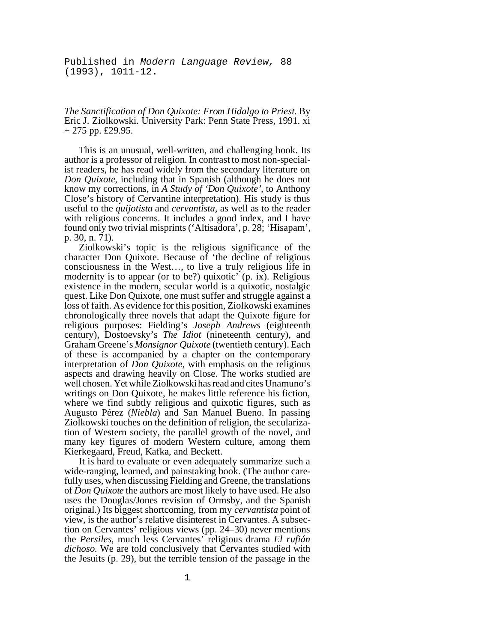Published in *Modern Language Review,* 88 (1993), 1011-12.

*The Sanctification of Don Quixote: From Hidalgo to Priest.* By Eric J. Ziolkowski. University Park: Penn State Press, 1991. xi  $+ 275$  pp. £29.95.

This is an unusual, well-written, and challenging book. Its author is a professor of religion. In contrast to most non-specialist readers, he has read widely from the secondary literature on *Don Quixote*, including that in Spanish (although he does not know my corrections, in *A Study of 'Don Quixote',* to Anthony Close's history of Cervantine interpretation). His study is thus useful to the *quijotista* and *cervantista,* as well as to the reader with religious concerns. It includes a good index, and I have found only two trivial misprints ('Altisadora', p. 28; 'Hisapam', p. 30, n. 71).

Ziolkowski's topic is the religious significance of the character Don Quixote. Because of 'the decline of religious consciousness in the West…, to live a truly religious life in modernity is to appear (or to be?) quixotic' (p. ix). Religious existence in the modern, secular world is a quixotic, nostalgic quest. Like Don Quixote, one must suffer and struggle against a loss of faith. As evidence for this position, Ziolkowski examines chronologically three novels that adapt the Quixote figure for religious purposes: Fielding's *Joseph Andrews* (eighteenth century), Dostoevsky's *The Idiot* (nineteenth century), and Graham Greene's *Monsignor Quixote* (twentieth century). Each of these is accompanied by a chapter on the contemporary interpretation of *Don Quixote*, with emphasis on the religious aspects and drawing heavily on Close. The works studied are well chosen. Yet while Ziolkowski has read and cites Unamuno's writings on Don Quixote, he makes little reference his fiction, where we find subtly religious and quixotic figures, such as Augusto Pérez (*Niebla*) and San Manuel Bueno. In passing Ziolkowski touches on the definition of religion, the secularization of Western society, the parallel growth of the novel, and many key figures of modern Western culture, among them Kierkegaard, Freud, Kafka, and Beckett.

It is hard to evaluate or even adequately summarize such a wide-ranging, learned, and painstaking book. (The author carefully uses, when discussing Fielding and Greene, the translations of *Don Quixote* the authors are most likely to have used. He also uses the Douglas/Jones revision of Ormsby, and the Spanish original.) Its biggest shortcoming, from my *cervantista* point of view, is the author's relative disinterest in Cervantes. A subsection on Cervantes' religious views (pp. 24–30) never mentions the *Persiles*, much less Cervantes' religious drama *El rufián dichoso*. We are told conclusively that Cervantes studied with the Jesuits (p. 29), but the terrible tension of the passage in the